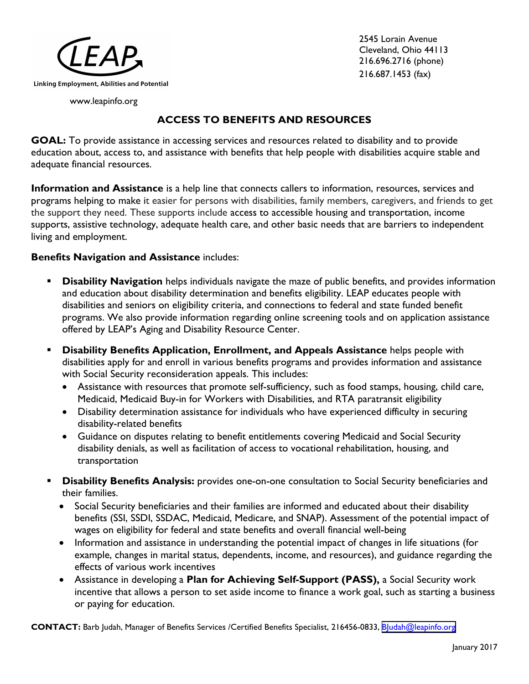

2545 Lorain Avenue Cleveland, Ohio 44113 216.696.2716 (phone) 216.687.1453 (fax)

www.leapinfo.org

## **ACCESS TO BENEFITS AND RESOURCES**

**GOAL:** To provide assistance in accessing services and resources related to disability and to provide education about, access to, and assistance with benefits that help people with disabilities acquire stable and adequate financial resources.

**Information and Assistance** is a help line that connects callers to information, resources, services and programs helping to make it easier for persons with disabilities, family members, caregivers, and friends to get the support they need. These supports include access to accessible housing and transportation, income supports, assistive technology, adequate health care, and other basic needs that are barriers to independent living and employment.

### **Benefits Navigation and Assistance** includes:

- **Disability Navigation** helps individuals navigate the maze of public benefits, and provides information and education about disability determination and benefits eligibility. LEAP educates people with disabilities and seniors on eligibility criteria, and connections to federal and state funded benefit programs. We also provide information regarding online screening tools and on application assistance offered by LEAP's Aging and Disability Resource Center.
- **Disability Benefits Application, Enrollment, and Appeals Assistance** helps people with disabilities apply for and enroll in various benefits programs and provides information and assistance with Social Security reconsideration appeals. This includes:
	- Assistance with resources that promote self-sufficiency, such as food stamps, housing, child care, Medicaid, Medicaid Buy-in for Workers with Disabilities, and RTA paratransit eligibility
	- Disability determination assistance for individuals who have experienced difficulty in securing disability-related benefits
	- Guidance on disputes relating to benefit entitlements covering Medicaid and Social Security disability denials, as well as facilitation of access to vocational rehabilitation, housing, and transportation
- **Disability Benefits Analysis:** provides one-on-one consultation to Social Security beneficiaries and their families.
	- Social Security beneficiaries and their families are informed and educated about their disability benefits (SSI, SSDI, SSDAC, Medicaid, Medicare, and SNAP). Assessment of the potential impact of wages on eligibility for federal and state benefits and overall financial well-being
	- Information and assistance in understanding the potential impact of changes in life situations (for example, changes in marital status, dependents, income, and resources), and guidance regarding the effects of various work incentives
	- Assistance in developing a **Plan for Achieving Self-Support (PASS),** a Social Security work incentive that allows a person to set aside income to finance a work goal, such as starting a business or paying for education.

**CONTACT:** Barb Judah, Manager of Benefits Services /Certified Benefits Specialist, 216[456-0833,](mailto:cgorham@leapinfo.org) BJudah[@leapinfo.org](BJudah@leapinfo.org)